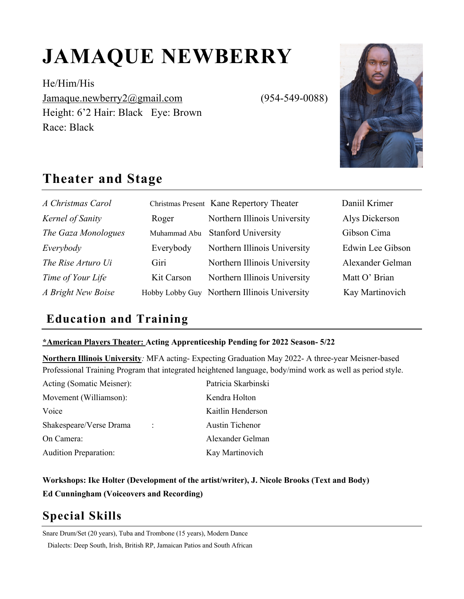# **JAMAQUE NEWBERRY**

He/Him/His Jamaque.newberry2@gmail.com (954-549-0088) Height: 6'2 Hair: Black Eye: Brown Race: Black



## **Theater and Stage**

| A Christmas Carol   |            | Christmas Present Kane Repertory Theater     | Daniil Krimer    |
|---------------------|------------|----------------------------------------------|------------------|
| Kernel of Sanity    | Roger      | Northern Illinois University                 | Alys Dickerson   |
| The Gaza Monologues |            | Muhammad Abu Stanford University             | Gibson Cima      |
| Everybody           | Everybody  | Northern Illinois University                 | Edwin Lee Gibson |
| The Rise Arturo Ui  | Giri       | Northern Illinois University                 | Alexander Gelman |
| Time of Your Life   | Kit Carson | Northern Illinois University                 | Matt O' Brian    |
| A Bright New Boise  |            | Hobby Lobby Guy Northern Illinois University | Kay Martinovich  |

### **Education and Training**

#### **\*American Players Theater: Acting Apprenticeship Pending for 2022 Season- 5/22**

**Northern Illinois University***:* MFA acting- Expecting Graduation May 2022- A three-year Meisner-based Professional Training Program that integrated heightened language, body/mind work as well as period style.

| Acting (Somatic Meisner):    | Patricia Skarbinski    |
|------------------------------|------------------------|
| Movement (Williamson):       | Kendra Holton          |
| Voice                        | Kaitlin Henderson      |
| Shakespeare/Verse Drama      | <b>Austin Tichenor</b> |
| On Camera:                   | Alexander Gelman       |
| <b>Audition Preparation:</b> | Kay Martinovich        |

**Workshops: Ike Holter (Development of the artist/writer), J. Nicole Brooks (Text and Body) Ed Cunningham (Voiceovers and Recording)**

# **Special Skills**

Snare Drum/Set (20 years), Tuba and Trombone (15 years), Modern Dance

Dialects: Deep South, Irish, British RP, Jamaican Patios and South African